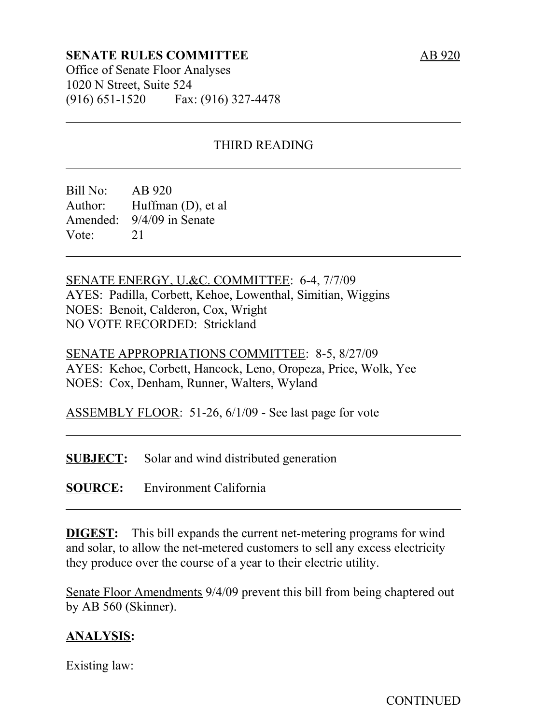### **SENATE RULES COMMITTEE**

Office of Senate Floor Analyses 1020 N Street, Suite 524 (916) 651-1520 Fax: (916) 327-4478

## THIRD READING

Bill No: AB 920 Author: Huffman (D), et al Amended: 9/4/09 in Senate Vote: 21

SENATE ENERGY, U.&C. COMMITTEE: 6-4, 7/7/09 AYES: Padilla, Corbett, Kehoe, Lowenthal, Simitian, Wiggins NOES: Benoit, Calderon, Cox, Wright NO VOTE RECORDED: Strickland

SENATE APPROPRIATIONS COMMITTEE: 8-5, 8/27/09 AYES: Kehoe, Corbett, Hancock, Leno, Oropeza, Price, Wolk, Yee NOES: Cox, Denham, Runner, Walters, Wyland

ASSEMBLY FLOOR: 51-26, 6/1/09 - See last page for vote

**SUBJECT:** Solar and wind distributed generation

**SOURCE:** Environment California

**DIGEST:** This bill expands the current net-metering programs for wind and solar, to allow the net-metered customers to sell any excess electricity they produce over the course of a year to their electric utility.

Senate Floor Amendments 9/4/09 prevent this bill from being chaptered out by AB 560 (Skinner).

### **ANALYSIS:**

Existing law: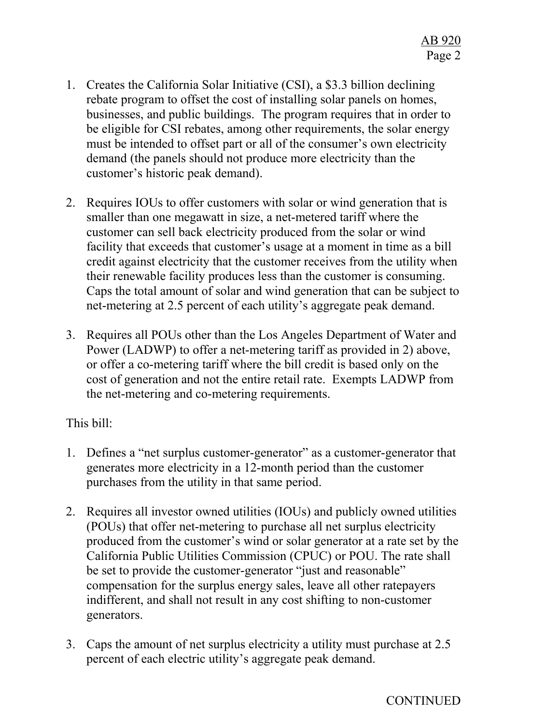- 1. Creates the California Solar Initiative (CSI), a \$3.3 billion declining rebate program to offset the cost of installing solar panels on homes, businesses, and public buildings. The program requires that in order to be eligible for CSI rebates, among other requirements, the solar energy must be intended to offset part or all of the consumer's own electricity demand (the panels should not produce more electricity than the customer's historic peak demand).
- 2. Requires IOUs to offer customers with solar or wind generation that is smaller than one megawatt in size, a net-metered tariff where the customer can sell back electricity produced from the solar or wind facility that exceeds that customer's usage at a moment in time as a bill credit against electricity that the customer receives from the utility when their renewable facility produces less than the customer is consuming. Caps the total amount of solar and wind generation that can be subject to net-metering at 2.5 percent of each utility's aggregate peak demand.
- 3. Requires all POUs other than the Los Angeles Department of Water and Power (LADWP) to offer a net-metering tariff as provided in 2) above, or offer a co-metering tariff where the bill credit is based only on the cost of generation and not the entire retail rate. Exempts LADWP from the net-metering and co-metering requirements.

### This bill:

- 1. Defines a "net surplus customer-generator" as a customer-generator that generates more electricity in a 12-month period than the customer purchases from the utility in that same period.
- 2. Requires all investor owned utilities (IOUs) and publicly owned utilities (POUs) that offer net-metering to purchase all net surplus electricity produced from the customer's wind or solar generator at a rate set by the California Public Utilities Commission (CPUC) or POU. The rate shall be set to provide the customer-generator "just and reasonable" compensation for the surplus energy sales, leave all other ratepayers indifferent, and shall not result in any cost shifting to non-customer generators.
- 3. Caps the amount of net surplus electricity a utility must purchase at 2.5 percent of each electric utility's aggregate peak demand.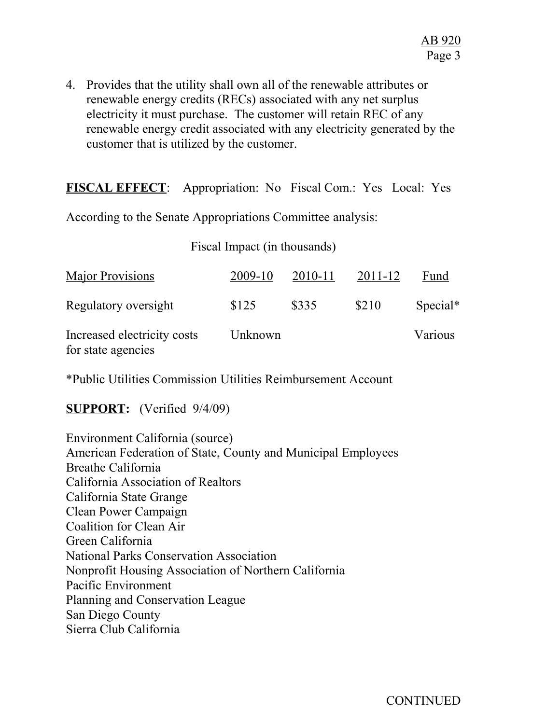4. Provides that the utility shall own all of the renewable attributes or renewable energy credits (RECs) associated with any net surplus electricity it must purchase. The customer will retain REC of any renewable energy credit associated with any electricity generated by the customer that is utilized by the customer.

**FISCAL EFFECT**: Appropriation: No Fiscal Com.: Yes Local: Yes

According to the Senate Appropriations Committee analysis:

### Fiscal Impact (in thousands)

| <b>Major Provisions</b>                           | 2009-10 | 2010-11 | 2011-12 | Fund       |
|---------------------------------------------------|---------|---------|---------|------------|
| Regulatory oversight                              | \$125   | \$335   | \$210   | $Special*$ |
| Increased electricity costs<br>for state agencies | Unknown |         |         | Various    |

\*Public Utilities Commission Utilities Reimbursement Account

## **SUPPORT:** (Verified 9/4/09)

Environment California (source) American Federation of State, County and Municipal Employees Breathe California California Association of Realtors California State Grange Clean Power Campaign Coalition for Clean Air Green California National Parks Conservation Association Nonprofit Housing Association of Northern California Pacific Environment Planning and Conservation League San Diego County Sierra Club California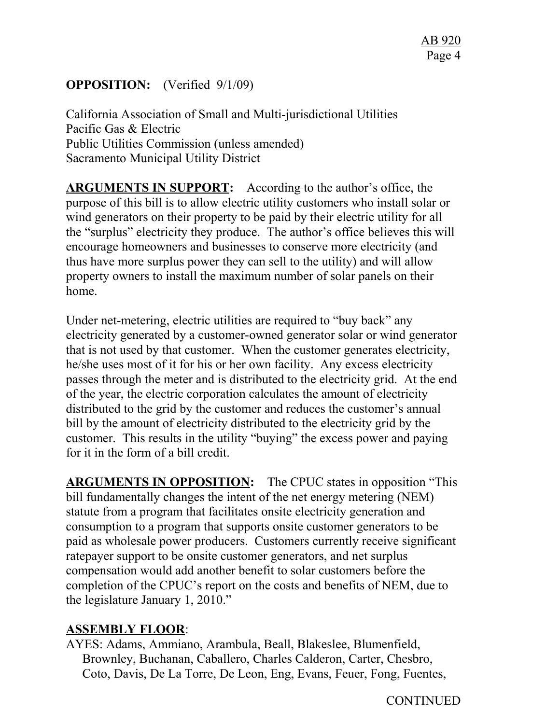# **OPPOSITION:** (Verified 9/1/09)

California Association of Small and Multi-jurisdictional Utilities Pacific Gas & Electric Public Utilities Commission (unless amended) Sacramento Municipal Utility District

**ARGUMENTS IN SUPPORT:** According to the author's office, the purpose of this bill is to allow electric utility customers who install solar or wind generators on their property to be paid by their electric utility for all the "surplus" electricity they produce. The author's office believes this will encourage homeowners and businesses to conserve more electricity (and thus have more surplus power they can sell to the utility) and will allow property owners to install the maximum number of solar panels on their home.

Under net-metering, electric utilities are required to "buy back" any electricity generated by a customer-owned generator solar or wind generator that is not used by that customer. When the customer generates electricity, he/she uses most of it for his or her own facility. Any excess electricity passes through the meter and is distributed to the electricity grid. At the end of the year, the electric corporation calculates the amount of electricity distributed to the grid by the customer and reduces the customer's annual bill by the amount of electricity distributed to the electricity grid by the customer. This results in the utility "buying" the excess power and paying for it in the form of a bill credit.

**ARGUMENTS IN OPPOSITION:** The CPUC states in opposition "This bill fundamentally changes the intent of the net energy metering (NEM) statute from a program that facilitates onsite electricity generation and consumption to a program that supports onsite customer generators to be paid as wholesale power producers. Customers currently receive significant ratepayer support to be onsite customer generators, and net surplus compensation would add another benefit to solar customers before the completion of the CPUC's report on the costs and benefits of NEM, due to the legislature January 1, 2010."

## **ASSEMBLY FLOOR**:

AYES: Adams, Ammiano, Arambula, Beall, Blakeslee, Blumenfield, Brownley, Buchanan, Caballero, Charles Calderon, Carter, Chesbro, Coto, Davis, De La Torre, De Leon, Eng, Evans, Feuer, Fong, Fuentes,